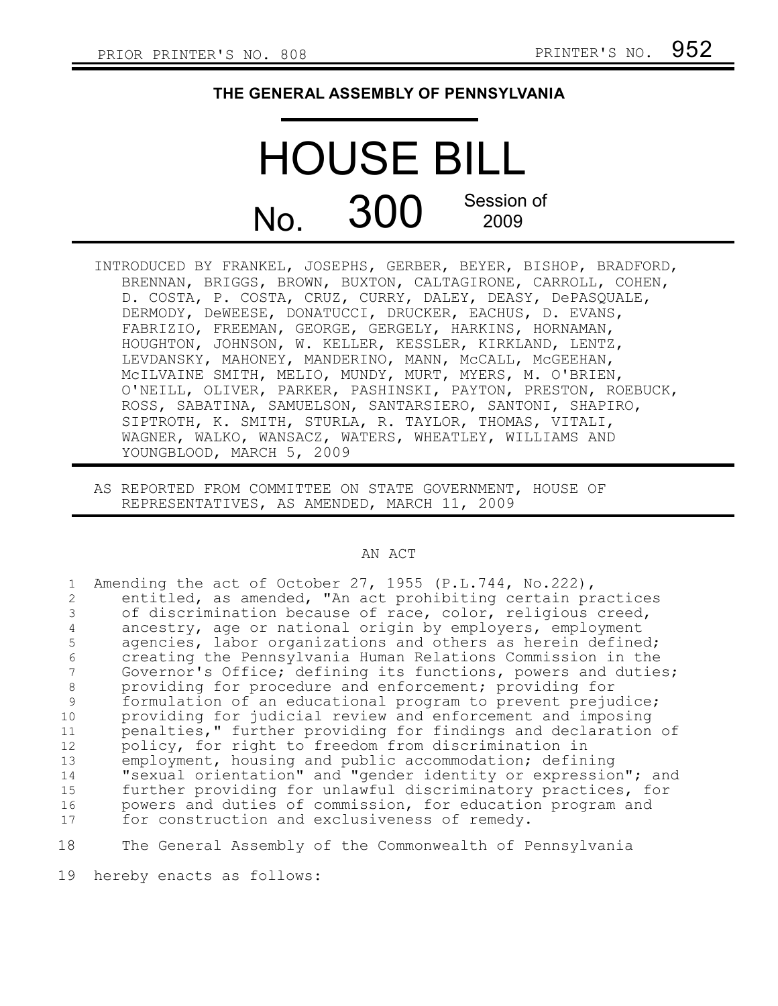## **THE GENERAL ASSEMBLY OF PENNSYLVANIA**

## HOUSE BILL  $N<sub>O</sub>$  300 Session of 2009

- INTRODUCED BY FRANKEL, JOSEPHS, GERBER, BEYER, BISHOP, BRADFORD, BRENNAN, BRIGGS, BROWN, BUXTON, CALTAGIRONE, CARROLL, COHEN, D. COSTA, P. COSTA, CRUZ, CURRY, DALEY, DEASY, DePASQUALE, DERMODY, DeWEESE, DONATUCCI, DRUCKER, EACHUS, D. EVANS, FABRIZIO, FREEMAN, GEORGE, GERGELY, HARKINS, HORNAMAN, HOUGHTON, JOHNSON, W. KELLER, KESSLER, KIRKLAND, LENTZ, LEVDANSKY, MAHONEY, MANDERINO, MANN, McCALL, McGEEHAN, McILVAINE SMITH, MELIO, MUNDY, MURT, MYERS, M. O'BRIEN, O'NEILL, OLIVER, PARKER, PASHINSKI, PAYTON, PRESTON, ROEBUCK, ROSS, SABATINA, SAMUELSON, SANTARSIERO, SANTONI, SHAPIRO, SIPTROTH, K. SMITH, STURLA, R. TAYLOR, THOMAS, VITALI, WAGNER, WALKO, WANSACZ, WATERS, WHEATLEY, WILLIAMS AND YOUNGBLOOD, MARCH 5, 2009
- AS REPORTED FROM COMMITTEE ON STATE GOVERNMENT, HOUSE OF REPRESENTATIVES, AS AMENDED, MARCH 11, 2009

## AN ACT

|    | Amending the act of October 27, 1955 (P.L.744, No.222),       |
|----|---------------------------------------------------------------|
|    | entitled, as amended, "An act prohibiting certain practices   |
| 3  | of discrimination because of race, color, religious creed,    |
| 4  | ancestry, age or national origin by employers, employment     |
| 5  | agencies, labor organizations and others as herein defined;   |
| 6  | creating the Pennsylvania Human Relations Commission in the   |
| 7  | Governor's Office; defining its functions, powers and duties; |
| 8  | providing for procedure and enforcement; providing for        |
| 9  | formulation of an educational program to prevent prejudice;   |
| 10 | providing for judicial review and enforcement and imposing    |
| 11 | penalties," further providing for findings and declaration of |
| 12 | policy, for right to freedom from discrimination in           |
| 13 | employment, housing and public accommodation; defining        |
| 14 | "sexual orientation" and "gender identity or expression"; and |
| 15 | further providing for unlawful discriminatory practices, for  |
| 16 | powers and duties of commission, for education program and    |
| 17 | for construction and exclusiveness of remedy.                 |
| 18 | The General Assembly of the Commonwealth of Pennsylvania      |

19 hereby enacts as follows: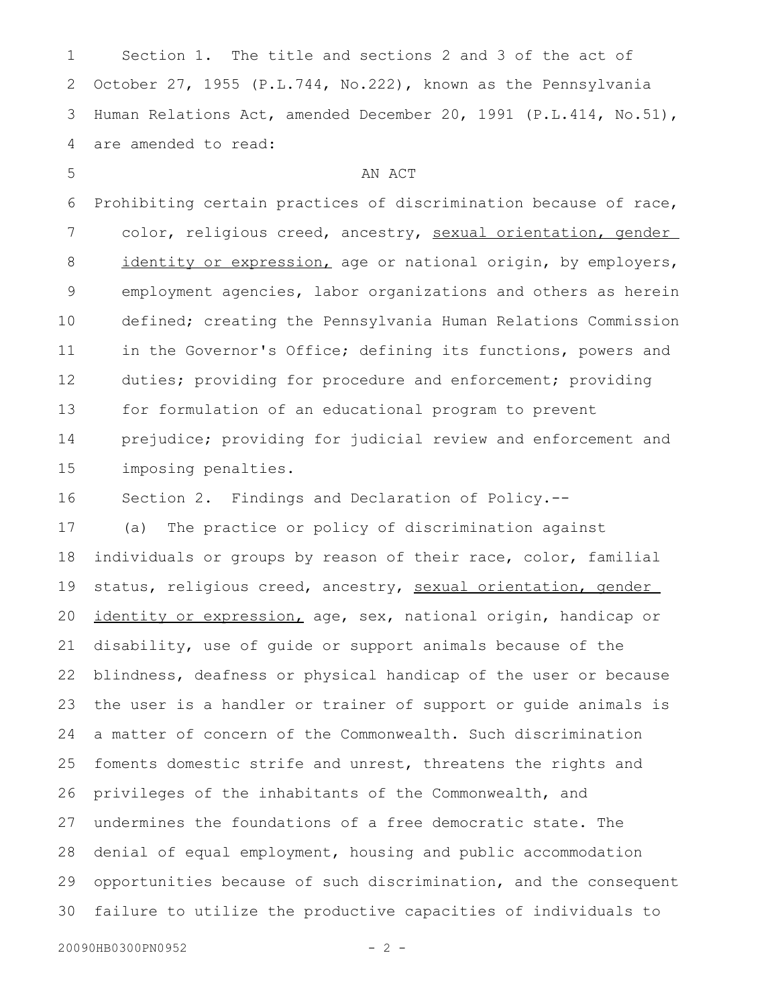Section 1. The title and sections 2 and 3 of the act of October 27, 1955 (P.L.744, No.222), known as the Pennsylvania Human Relations Act, amended December 20, 1991 (P.L.414, No.51), are amended to read: 1 2 3 4

AN ACT

Prohibiting certain practices of discrimination because of race, color, religious creed, ancestry, sexual orientation, gender identity or expression, age or national origin, by employers, employment agencies, labor organizations and others as herein defined; creating the Pennsylvania Human Relations Commission in the Governor's Office; defining its functions, powers and duties; providing for procedure and enforcement; providing for formulation of an educational program to prevent prejudice; providing for judicial review and enforcement and imposing penalties. 6 7 8 9 10 11 12 13 14 15

Section 2. Findings and Declaration of Policy.-- 16

(a) The practice or policy of discrimination against individuals or groups by reason of their race, color, familial status, religious creed, ancestry, sexual orientation, gender identity or expression, age, sex, national origin, handicap or disability, use of guide or support animals because of the blindness, deafness or physical handicap of the user or because the user is a handler or trainer of support or guide animals is a matter of concern of the Commonwealth. Such discrimination foments domestic strife and unrest, threatens the rights and privileges of the inhabitants of the Commonwealth, and undermines the foundations of a free democratic state. The denial of equal employment, housing and public accommodation opportunities because of such discrimination, and the consequent failure to utilize the productive capacities of individuals to 17 18 19 20 21 22 23 24 25 26 27 28 29 30

```
20090HB0300PN0952 - 2 -
```
5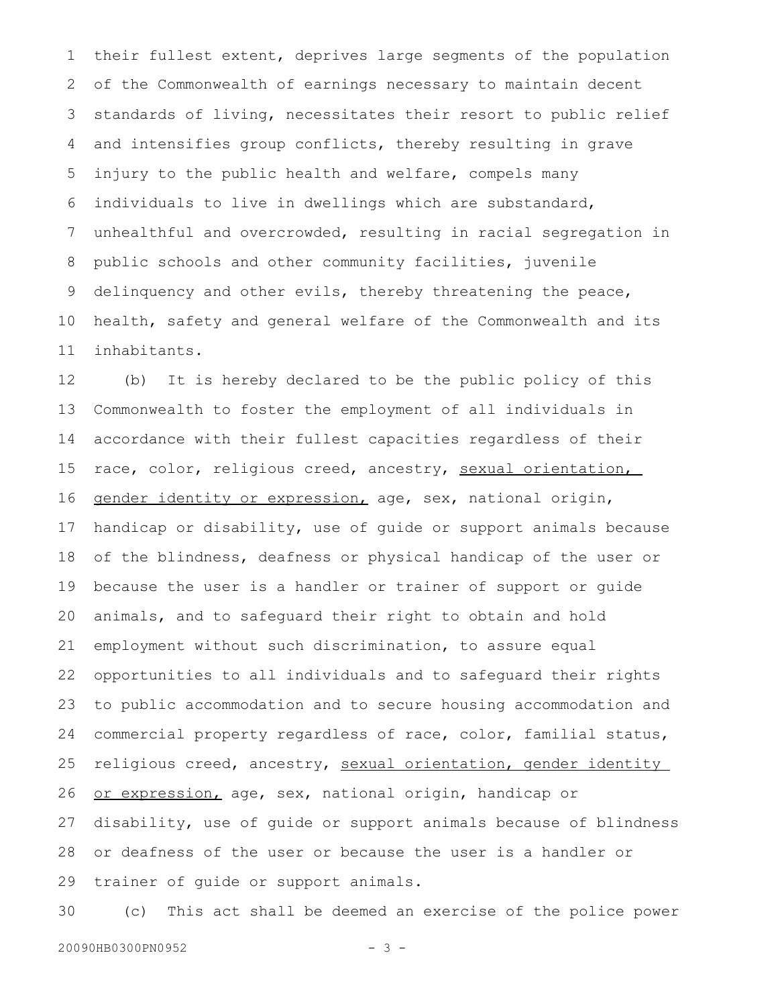their fullest extent, deprives large segments of the population of the Commonwealth of earnings necessary to maintain decent standards of living, necessitates their resort to public relief and intensifies group conflicts, thereby resulting in grave injury to the public health and welfare, compels many individuals to live in dwellings which are substandard, unhealthful and overcrowded, resulting in racial segregation in public schools and other community facilities, juvenile delinquency and other evils, thereby threatening the peace, health, safety and general welfare of the Commonwealth and its inhabitants. 1 2 3 4 5 6 7 8 9 10 11

(b) It is hereby declared to be the public policy of this Commonwealth to foster the employment of all individuals in accordance with their fullest capacities regardless of their race, color, religious creed, ancestry, sexual orientation, gender identity or expression, age, sex, national origin, handicap or disability, use of guide or support animals because of the blindness, deafness or physical handicap of the user or because the user is a handler or trainer of support or guide animals, and to safeguard their right to obtain and hold employment without such discrimination, to assure equal opportunities to all individuals and to safeguard their rights to public accommodation and to secure housing accommodation and commercial property regardless of race, color, familial status, religious creed, ancestry, sexual orientation, gender identity or expression, age, sex, national origin, handicap or disability, use of guide or support animals because of blindness or deafness of the user or because the user is a handler or trainer of guide or support animals. 12 13 14 15 16 17 18 19 20 21 22 23 24 25 26 27 28 29

(c) This act shall be deemed an exercise of the police power 30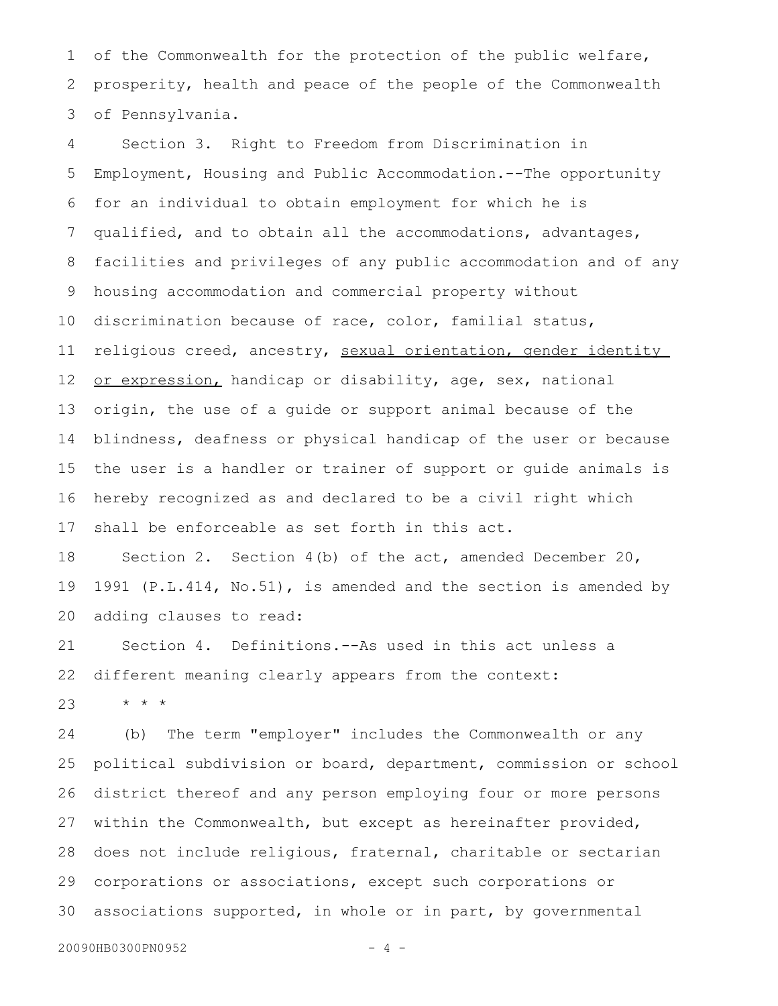of the Commonwealth for the protection of the public welfare, prosperity, health and peace of the people of the Commonwealth of Pennsylvania. 1 2 3

Section 3. Right to Freedom from Discrimination in Employment, Housing and Public Accommodation.--The opportunity for an individual to obtain employment for which he is qualified, and to obtain all the accommodations, advantages, facilities and privileges of any public accommodation and of any housing accommodation and commercial property without discrimination because of race, color, familial status, religious creed, ancestry, sexual orientation, gender identity or expression, handicap or disability, age, sex, national origin, the use of a guide or support animal because of the blindness, deafness or physical handicap of the user or because the user is a handler or trainer of support or guide animals is hereby recognized as and declared to be a civil right which shall be enforceable as set forth in this act. 4 5 6 7 8 9 10 11 12 13 14 15 16 17

Section 2. Section 4(b) of the act, amended December 20, 1991 (P.L.414, No.51), is amended and the section is amended by adding clauses to read: 18 19 20

Section 4. Definitions.--As used in this act unless a different meaning clearly appears from the context: 21 22

\* \* \* 23

(b) The term "employer" includes the Commonwealth or any political subdivision or board, department, commission or school district thereof and any person employing four or more persons within the Commonwealth, but except as hereinafter provided, does not include religious, fraternal, charitable or sectarian corporations or associations, except such corporations or associations supported, in whole or in part, by governmental 24 25 26 27 28 29 30

20090HB0300PN0952 - 4 -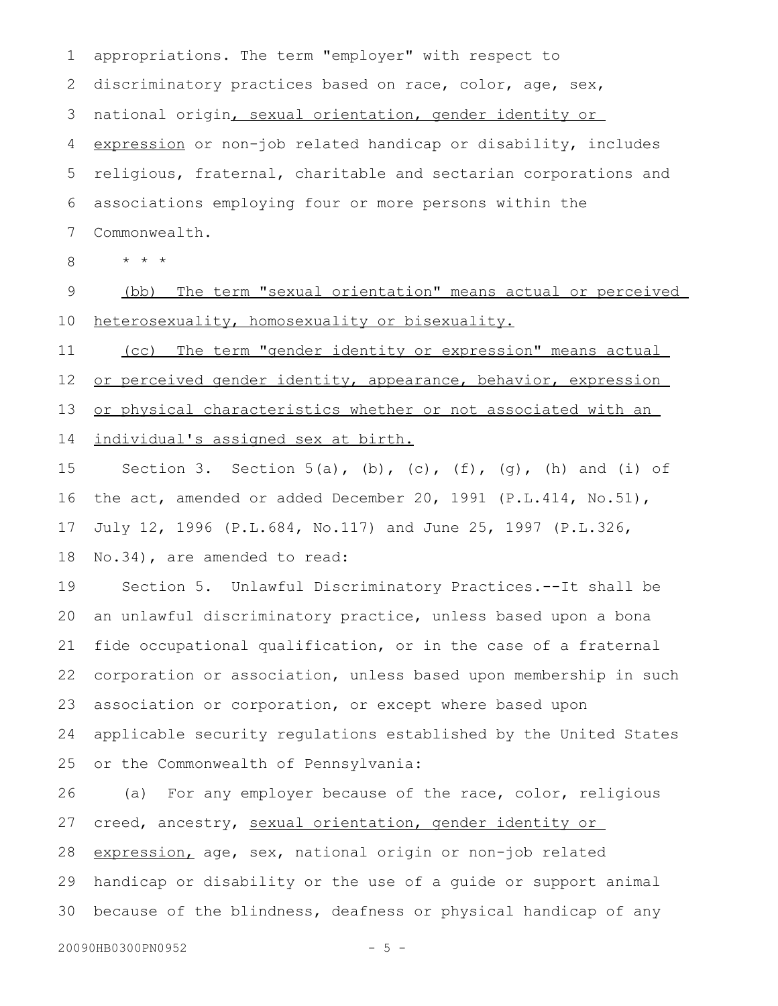appropriations. The term "employer" with respect to discriminatory practices based on race, color, age, sex, national origin, sexual orientation, gender identity or expression or non-job related handicap or disability, includes religious, fraternal, charitable and sectarian corporations and associations employing four or more persons within the Commonwealth. 1 2 3 4 5 6 7

\* \* \* 8

(bb) The term " sexual orientation" means actual or perceived heterosexuality, homosexuality or bisexuality. 9 10

(cc) The term " gender identity or expression" means actual or perceived gender identity, appearance, behavior, expression or physical characteristics whether or not associated with an individual's assigned sex at birth. 11 12 13 14

Section 3. Section  $5(a)$ , (b), (c), (f), (g), (h) and (i) of the act, amended or added December 20, 1991 (P.L.414, No.51), July 12, 1996 (P.L.684, No.117) and June 25, 1997 (P.L.326, No.34), are amended to read: 15 16 17 18

Section 5. Unlawful Discriminatory Practices.--It shall be an unlawful discriminatory practice, unless based upon a bona fide occupational qualification, or in the case of a fraternal corporation or association, unless based upon membership in such association or corporation, or except where based upon applicable security regulations established by the United States or the Commonwealth of Pennsylvania: 19 20 21 22 23 24 25

(a) For any employer because of the race, color, religious creed, ancestry, sexual orientation, gender identity or expression, age, sex, national origin or non-job related handicap or disability or the use of a guide or support animal because of the blindness, deafness or physical handicap of any 26 27 28 29 30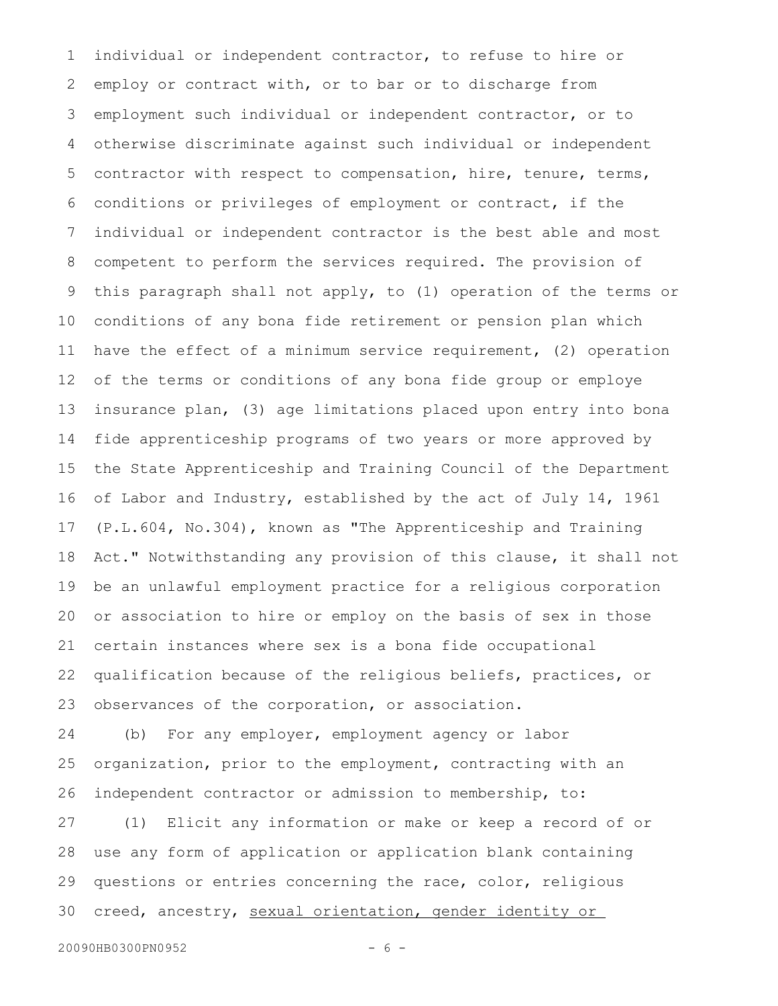individual or independent contractor, to refuse to hire or employ or contract with, or to bar or to discharge from employment such individual or independent contractor, or to otherwise discriminate against such individual or independent contractor with respect to compensation, hire, tenure, terms, conditions or privileges of employment or contract, if the individual or independent contractor is the best able and most competent to perform the services required. The provision of this paragraph shall not apply, to (1) operation of the terms or conditions of any bona fide retirement or pension plan which have the effect of a minimum service requirement, (2) operation of the terms or conditions of any bona fide group or employe insurance plan, (3) age limitations placed upon entry into bona fide apprenticeship programs of two years or more approved by the State Apprenticeship and Training Council of the Department of Labor and Industry, established by the act of July 14, 1961 (P.L.604, No.304), known as "The Apprenticeship and Training Act." Notwithstanding any provision of this clause, it shall not be an unlawful employment practice for a religious corporation or association to hire or employ on the basis of sex in those certain instances where sex is a bona fide occupational qualification because of the religious beliefs, practices, or observances of the corporation, or association. 1 2 3 4 5 6 7 8 9 10 11 12 13 14 15 16 17 18 19 20 21 22 23

(b) For any employer, employment agency or labor organization, prior to the employment, contracting with an independent contractor or admission to membership, to: 24 25 26

(1) Elicit any information or make or keep a record of or use any form of application or application blank containing questions or entries concerning the race, color, religious creed, ancestry, sexual orientation, gender identity or 27 28 29 30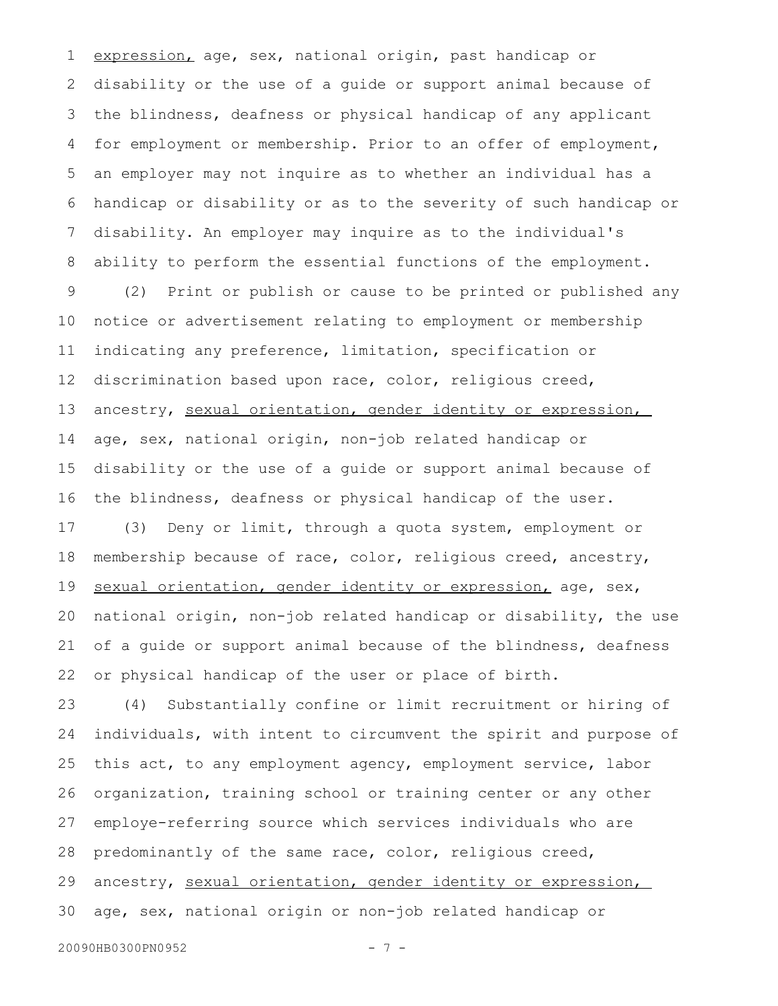expression, age, sex, national origin, past handicap or disability or the use of a guide or support animal because of the blindness, deafness or physical handicap of any applicant for employment or membership. Prior to an offer of employment, an employer may not inquire as to whether an individual has a handicap or disability or as to the severity of such handicap or disability. An employer may inquire as to the individual's ability to perform the essential functions of the employment. (2) Print or publish or cause to be printed or published any notice or advertisement relating to employment or membership indicating any preference, limitation, specification or discrimination based upon race, color, religious creed, ancestry, sexual orientation, gender identity or expression, age, sex, national origin, non-job related handicap or disability or the use of a guide or support animal because of the blindness, deafness or physical handicap of the user. (3) Deny or limit, through a quota system, employment or membership because of race, color, religious creed, ancestry, sexual orientation, gender identity or expression, age, sex, national origin, non-job related handicap or disability, the use of a guide or support animal because of the blindness, deafness or physical handicap of the user or place of birth. (4) Substantially confine or limit recruitment or hiring of individuals, with intent to circumvent the spirit and purpose of 1 2 3 4 5 6 7 8 9 10 11 12 13 14 15 16 17 18 19 20 21 22 23 24

this act, to any employment agency, employment service, labor organization, training school or training center or any other employe-referring source which services individuals who are predominantly of the same race, color, religious creed, ancestry, sexual orientation, gender identity or expression, age, sex, national origin or non-job related handicap or 25 26 27 28 29 30

```
20090HB0300PN0952 - 7 -
```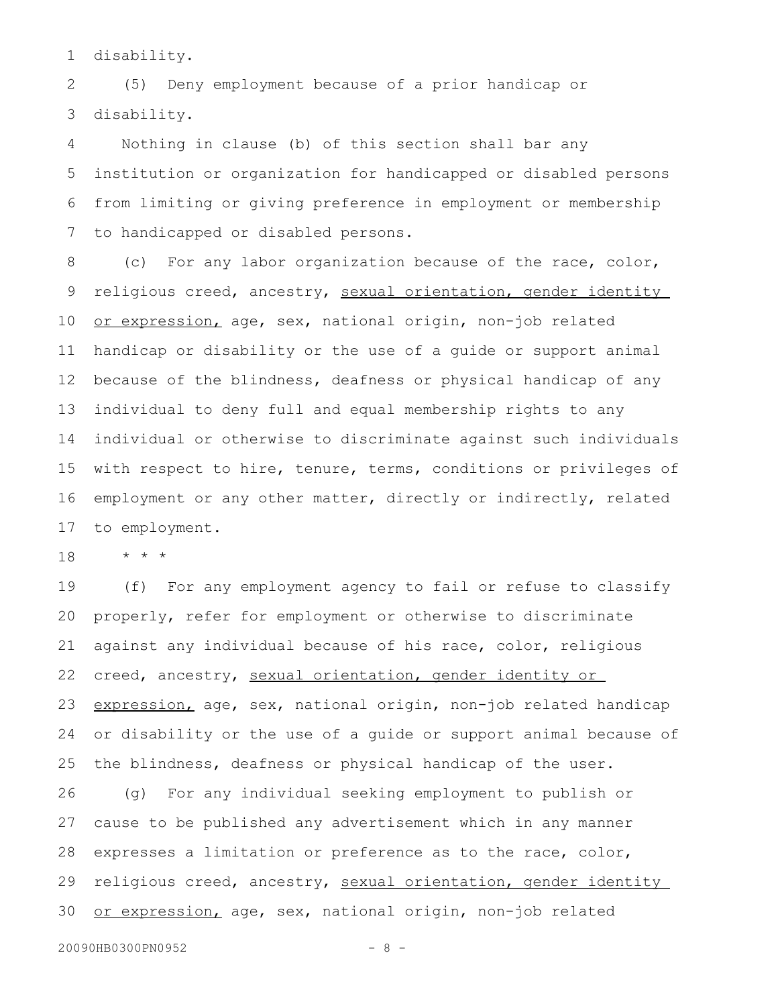disability. 1

(5) Deny employment because of a prior handicap or disability. 2 3

Nothing in clause (b) of this section shall bar any institution or organization for handicapped or disabled persons from limiting or giving preference in employment or membership to handicapped or disabled persons. 4 5 6 7

(c) For any labor organization because of the race, color, religious creed, ancestry, sexual orientation, gender identity or expression, age, sex, national origin, non-job related handicap or disability or the use of a guide or support animal because of the blindness, deafness or physical handicap of any individual to deny full and equal membership rights to any individual or otherwise to discriminate against such individuals with respect to hire, tenure, terms, conditions or privileges of employment or any other matter, directly or indirectly, related to employment. 8 9 10 11 12 13 14 15 16 17

\* \* \* 18

(f) For any employment agency to fail or refuse to classify properly, refer for employment or otherwise to discriminate against any individual because of his race, color, religious creed, ancestry, sexual orientation, gender identity or expression, age, sex, national origin, non-job related handicap or disability or the use of a guide or support animal because of the blindness, deafness or physical handicap of the user. (g) For any individual seeking employment to publish or cause to be published any advertisement which in any manner expresses a limitation or preference as to the race, color, religious creed, ancestry, sexual orientation, gender identity or expression, age, sex, national origin, non-job related 19 20 21 22 23 24 25 26 27 28 29 30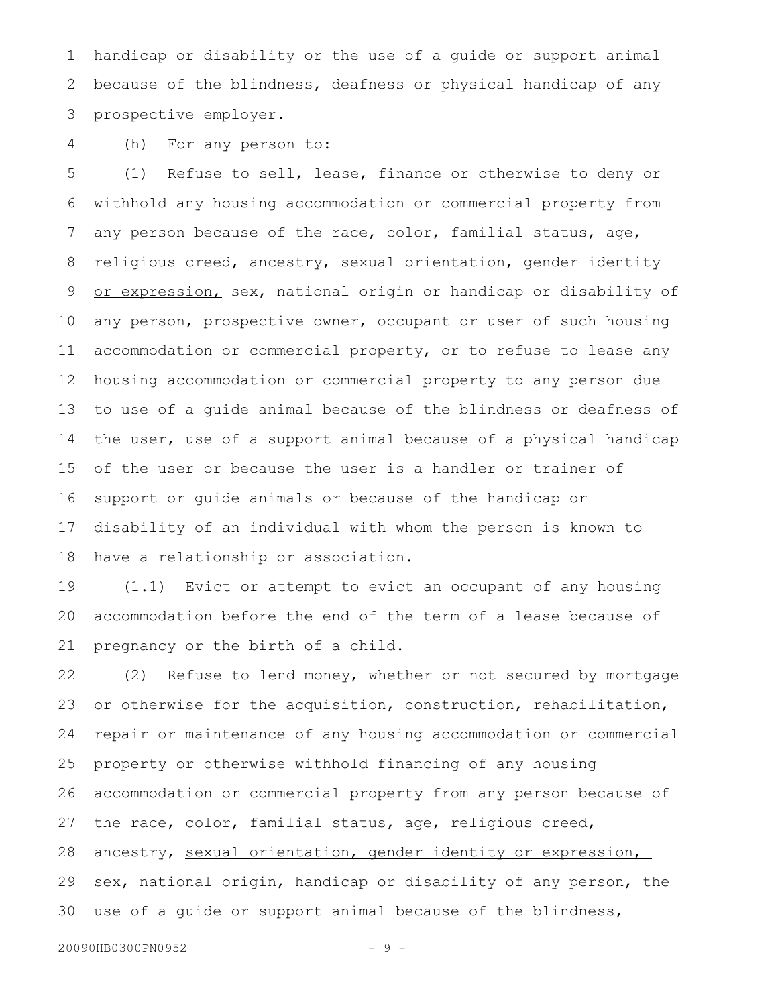handicap or disability or the use of a guide or support animal because of the blindness, deafness or physical handicap of any prospective employer. 1 2 3

(h) For any person to: 4

(1) Refuse to sell, lease, finance or otherwise to deny or withhold any housing accommodation or commercial property from any person because of the race, color, familial status, age, religious creed, ancestry, sexual orientation, gender identity or expression, sex, national origin or handicap or disability of any person, prospective owner, occupant or user of such housing accommodation or commercial property, or to refuse to lease any housing accommodation or commercial property to any person due to use of a guide animal because of the blindness or deafness of the user, use of a support animal because of a physical handicap of the user or because the user is a handler or trainer of support or guide animals or because of the handicap or disability of an individual with whom the person is known to have a relationship or association. 5 6 7 8 9 10 11 12 13 14 15 16 17 18

(1.1) Evict or attempt to evict an occupant of any housing accommodation before the end of the term of a lease because of pregnancy or the birth of a child. 19 20 21

(2) Refuse to lend money, whether or not secured by mortgage or otherwise for the acquisition, construction, rehabilitation, repair or maintenance of any housing accommodation or commercial property or otherwise withhold financing of any housing accommodation or commercial property from any person because of the race, color, familial status, age, religious creed, ancestry, sexual orientation, gender identity or expression, sex, national origin, handicap or disability of any person, the use of a guide or support animal because of the blindness, 22 23 24 25 26 27 28 29 30

```
20090HB0300PN0952 - 9 -
```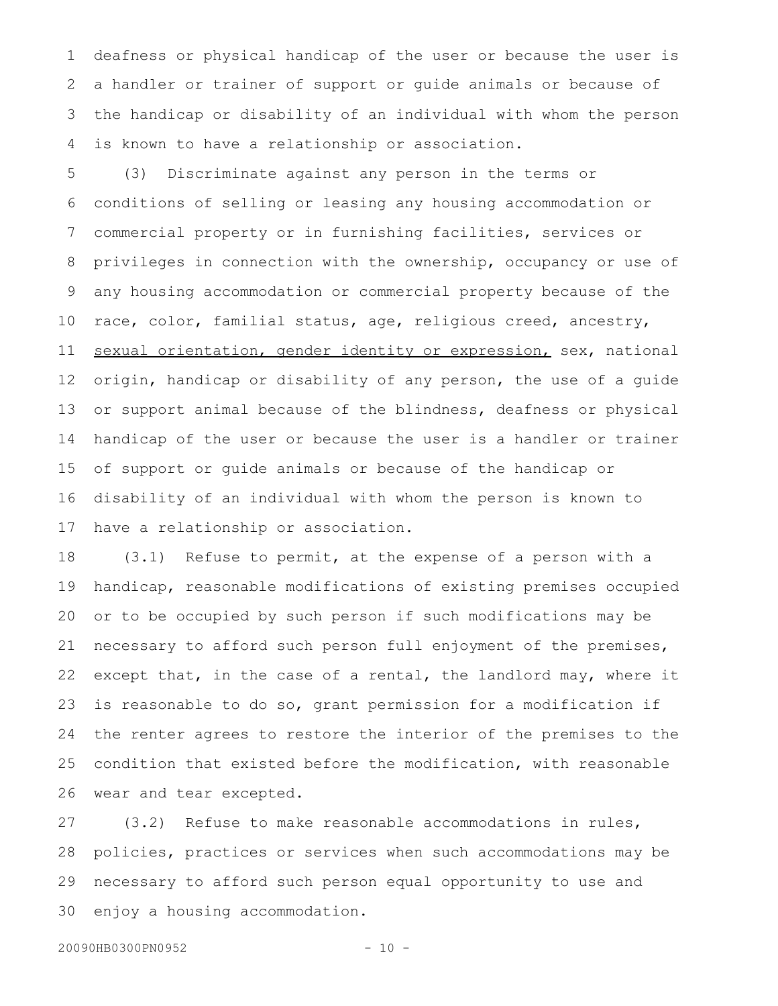deafness or physical handicap of the user or because the user is a handler or trainer of support or guide animals or because of the handicap or disability of an individual with whom the person is known to have a relationship or association. 1 2 3 4

(3) Discriminate against any person in the terms or conditions of selling or leasing any housing accommodation or commercial property or in furnishing facilities, services or privileges in connection with the ownership, occupancy or use of any housing accommodation or commercial property because of the race, color, familial status, age, religious creed, ancestry, sexual orientation, gender identity or expression, sex, national origin, handicap or disability of any person, the use of a guide or support animal because of the blindness, deafness or physical handicap of the user or because the user is a handler or trainer of support or guide animals or because of the handicap or disability of an individual with whom the person is known to have a relationship or association. 5 6 7 8 9 10 11 12 13 14 15 16 17

(3.1) Refuse to permit, at the expense of a person with a handicap, reasonable modifications of existing premises occupied or to be occupied by such person if such modifications may be necessary to afford such person full enjoyment of the premises, except that, in the case of a rental, the landlord may, where it is reasonable to do so, grant permission for a modification if the renter agrees to restore the interior of the premises to the condition that existed before the modification, with reasonable wear and tear excepted. 18 19 20 21 22 23 24 25 26

(3.2) Refuse to make reasonable accommodations in rules, policies, practices or services when such accommodations may be necessary to afford such person equal opportunity to use and enjoy a housing accommodation. 27 28 29 30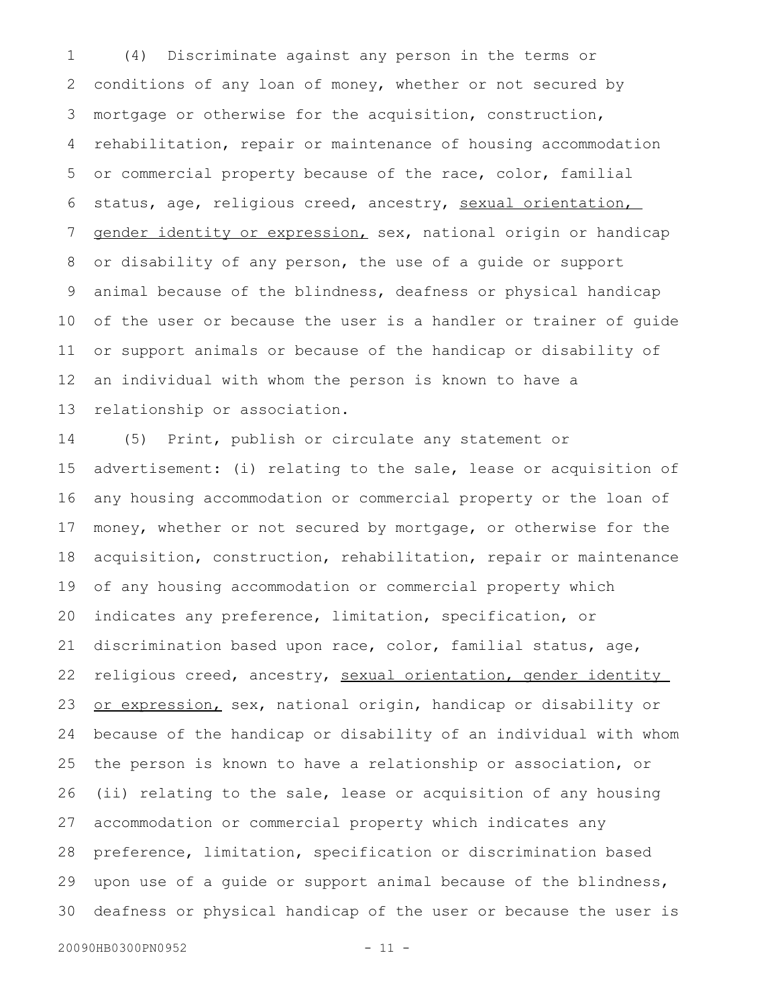(4) Discriminate against any person in the terms or conditions of any loan of money, whether or not secured by mortgage or otherwise for the acquisition, construction, rehabilitation, repair or maintenance of housing accommodation or commercial property because of the race, color, familial status, age, religious creed, ancestry, sexual orientation, gender identity or expression, sex, national origin or handicap or disability of any person, the use of a guide or support animal because of the blindness, deafness or physical handicap of the user or because the user is a handler or trainer of guide or support animals or because of the handicap or disability of an individual with whom the person is known to have a relationship or association. 1 2 3 4 5 6 7 8 9 10 11 12 13

(5) Print, publish or circulate any statement or advertisement: (i) relating to the sale, lease or acquisition of any housing accommodation or commercial property or the loan of money, whether or not secured by mortgage, or otherwise for the acquisition, construction, rehabilitation, repair or maintenance of any housing accommodation or commercial property which indicates any preference, limitation, specification, or discrimination based upon race, color, familial status, age, religious creed, ancestry, sexual orientation, gender identity or expression, sex, national origin, handicap or disability or because of the handicap or disability of an individual with whom the person is known to have a relationship or association, or (ii) relating to the sale, lease or acquisition of any housing accommodation or commercial property which indicates any preference, limitation, specification or discrimination based upon use of a guide or support animal because of the blindness, deafness or physical handicap of the user or because the user is 14 15 16 17 18 19 20 21 22 23 24 25 26 27 28 29 30

20090HB0300PN0952 - 11 -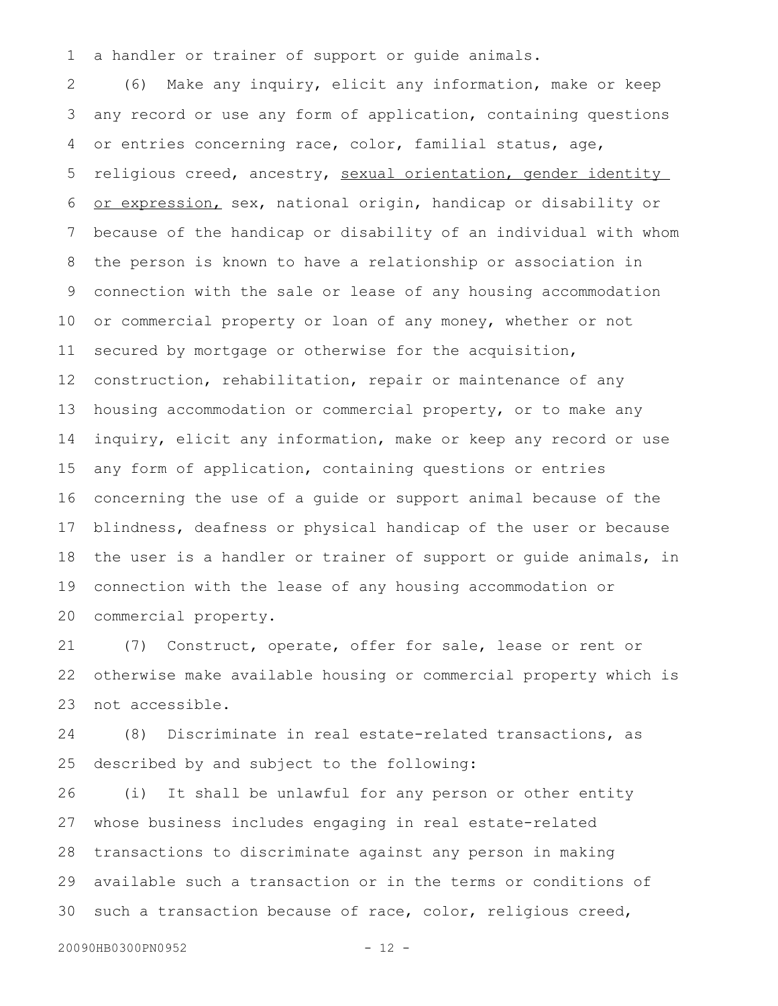a handler or trainer of support or guide animals. 1

(6) Make any inquiry, elicit any information, make or keep any record or use any form of application, containing questions or entries concerning race, color, familial status, age, religious creed, ancestry, sexual orientation, gender identity or expression, sex, national origin, handicap or disability or because of the handicap or disability of an individual with whom the person is known to have a relationship or association in connection with the sale or lease of any housing accommodation or commercial property or loan of any money, whether or not secured by mortgage or otherwise for the acquisition, construction, rehabilitation, repair or maintenance of any housing accommodation or commercial property, or to make any inquiry, elicit any information, make or keep any record or use any form of application, containing questions or entries concerning the use of a guide or support animal because of the blindness, deafness or physical handicap of the user or because the user is a handler or trainer of support or guide animals, in connection with the lease of any housing accommodation or commercial property. 2 3 4 5 6 7 8 9 10 11 12 13 14 15 16 17 18 19 20

(7) Construct, operate, offer for sale, lease or rent or otherwise make available housing or commercial property which is not accessible. 21 22 23

(8) Discriminate in real estate-related transactions, as described by and subject to the following: 24 25

(i) It shall be unlawful for any person or other entity whose business includes engaging in real estate-related transactions to discriminate against any person in making available such a transaction or in the terms or conditions of such a transaction because of race, color, religious creed, 26 27 28 29 30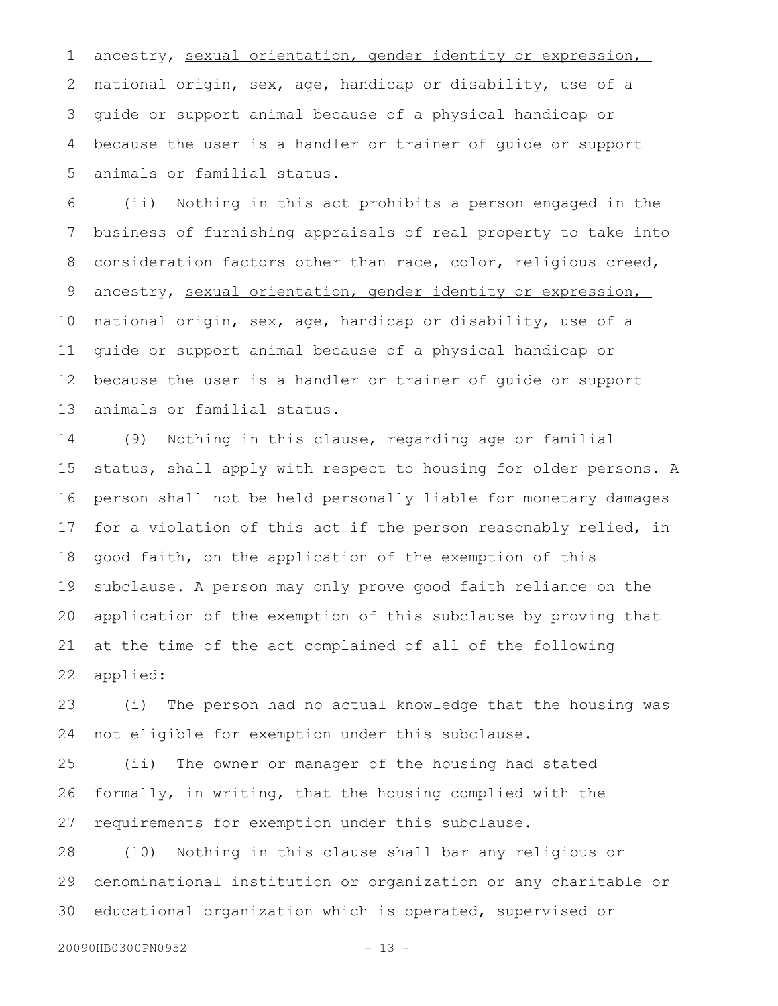ancestry, sexual orientation, gender identity or expression, national origin, sex, age, handicap or disability, use of a guide or support animal because of a physical handicap or because the user is a handler or trainer of guide or support animals or familial status. 1 2 3 4 5

(ii) Nothing in this act prohibits a person engaged in the business of furnishing appraisals of real property to take into consideration factors other than race, color, religious creed, ancestry, sexual orientation, gender identity or expression, national origin, sex, age, handicap or disability, use of a guide or support animal because of a physical handicap or because the user is a handler or trainer of guide or support animals or familial status. 6 7 8 9 10 11 12 13

(9) Nothing in this clause, regarding age or familial status, shall apply with respect to housing for older persons. A person shall not be held personally liable for monetary damages for a violation of this act if the person reasonably relied, in good faith, on the application of the exemption of this subclause. A person may only prove good faith reliance on the application of the exemption of this subclause by proving that at the time of the act complained of all of the following applied: 14 15 16 17 18 19 20 21 22

(i) The person had no actual knowledge that the housing was not eligible for exemption under this subclause. 23 24

(ii) The owner or manager of the housing had stated formally, in writing, that the housing complied with the requirements for exemption under this subclause. 25 26 27

(10) Nothing in this clause shall bar any religious or denominational institution or organization or any charitable or educational organization which is operated, supervised or 28 29 30

20090HB0300PN0952 - 13 -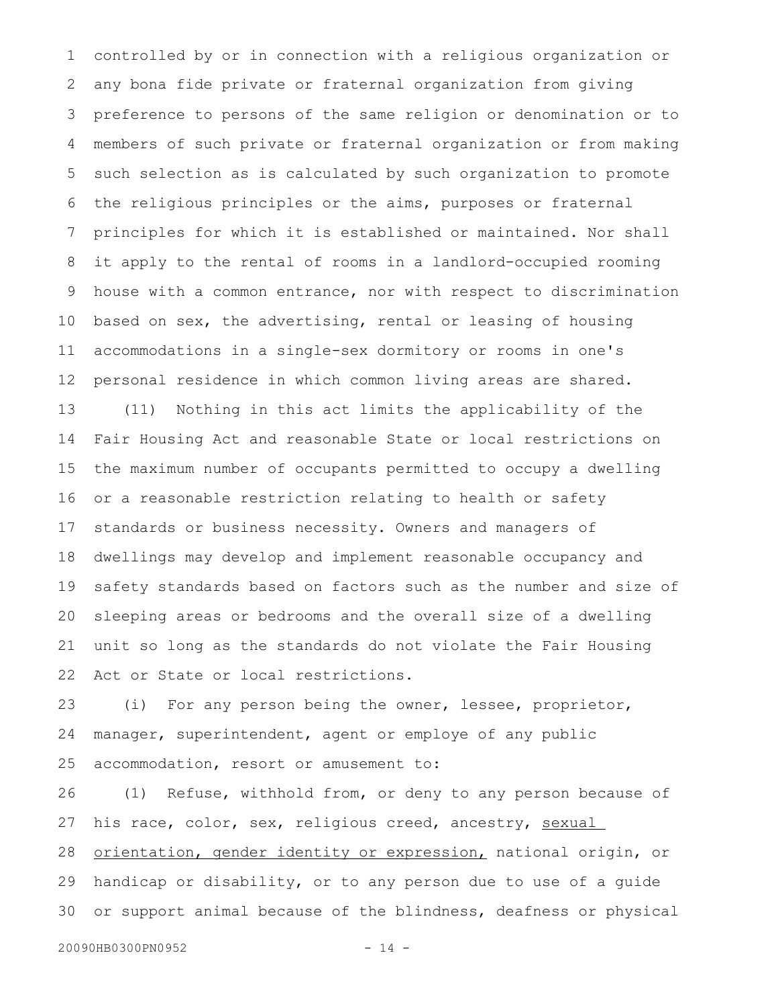controlled by or in connection with a religious organization or any bona fide private or fraternal organization from giving preference to persons of the same religion or denomination or to members of such private or fraternal organization or from making such selection as is calculated by such organization to promote the religious principles or the aims, purposes or fraternal principles for which it is established or maintained. Nor shall it apply to the rental of rooms in a landlord-occupied rooming house with a common entrance, nor with respect to discrimination based on sex, the advertising, rental or leasing of housing accommodations in a single-sex dormitory or rooms in one's personal residence in which common living areas are shared. (11) Nothing in this act limits the applicability of the Fair Housing Act and reasonable State or local restrictions on the maximum number of occupants permitted to occupy a dwelling or a reasonable restriction relating to health or safety standards or business necessity. Owners and managers of dwellings may develop and implement reasonable occupancy and safety standards based on factors such as the number and size of sleeping areas or bedrooms and the overall size of a dwelling unit so long as the standards do not violate the Fair Housing Act or State or local restrictions. 1 2 3 4 5 6 7 8 9 10 11 12 13 14 15 16 17 18 19 20 21 22

(i) For any person being the owner, lessee, proprietor, manager, superintendent, agent or employe of any public accommodation, resort or amusement to: 23 24 25

(1) Refuse, withhold from, or deny to any person because of his race, color, sex, religious creed, ancestry, sexual orientation, gender identity or expression, national origin, or handicap or disability, or to any person due to use of a guide or support animal because of the blindness, deafness or physical 26 27 28 29 30

20090HB0300PN0952 - 14 -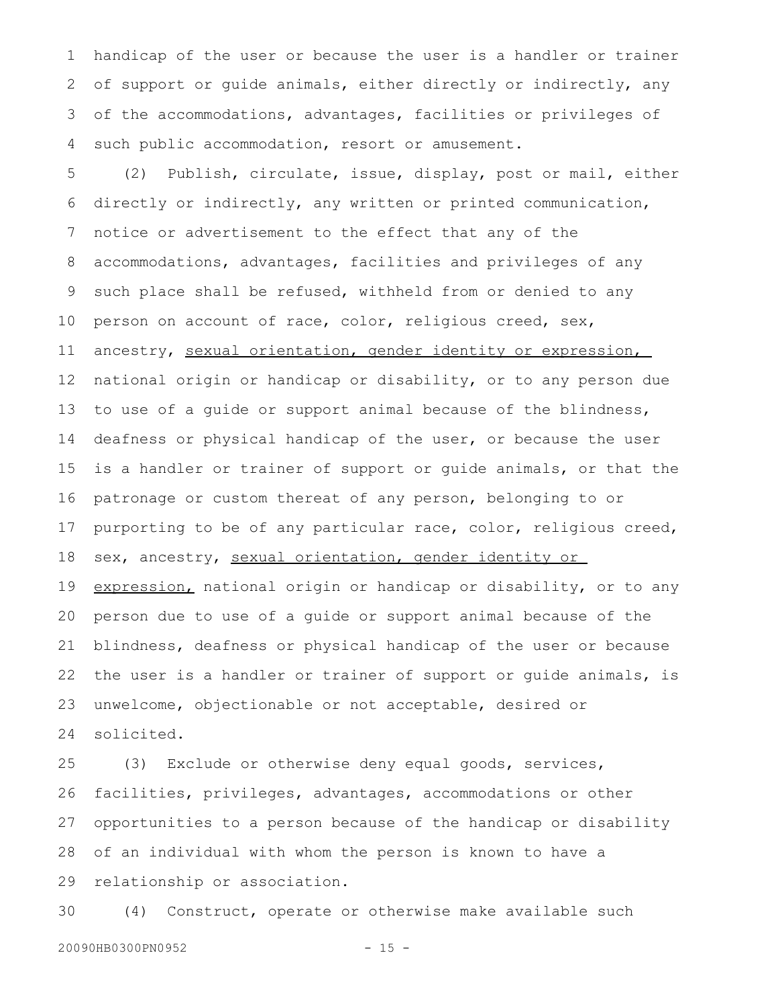handicap of the user or because the user is a handler or trainer of support or guide animals, either directly or indirectly, any of the accommodations, advantages, facilities or privileges of such public accommodation, resort or amusement. 1 2 3 4

(2) Publish, circulate, issue, display, post or mail, either directly or indirectly, any written or printed communication, notice or advertisement to the effect that any of the accommodations, advantages, facilities and privileges of any such place shall be refused, withheld from or denied to any person on account of race, color, religious creed, sex, ancestry, sexual orientation, gender identity or expression, national origin or handicap or disability, or to any person due to use of a guide or support animal because of the blindness, deafness or physical handicap of the user, or because the user is a handler or trainer of support or guide animals, or that the patronage or custom thereat of any person, belonging to or purporting to be of any particular race, color, religious creed, sex, ancestry, sexual orientation, gender identity or expression, national origin or handicap or disability, or to any person due to use of a guide or support animal because of the blindness, deafness or physical handicap of the user or because the user is a handler or trainer of support or guide animals, is 5 6 7 8 9 10 11 12 13 14 15 16 17 18 19 20 21 22

unwelcome, objectionable or not acceptable, desired or solicited. 23 24

(3) Exclude or otherwise deny equal goods, services, facilities, privileges, advantages, accommodations or other opportunities to a person because of the handicap or disability of an individual with whom the person is known to have a relationship or association. 25 26 27 28 29

(4) Construct, operate or otherwise make available such 30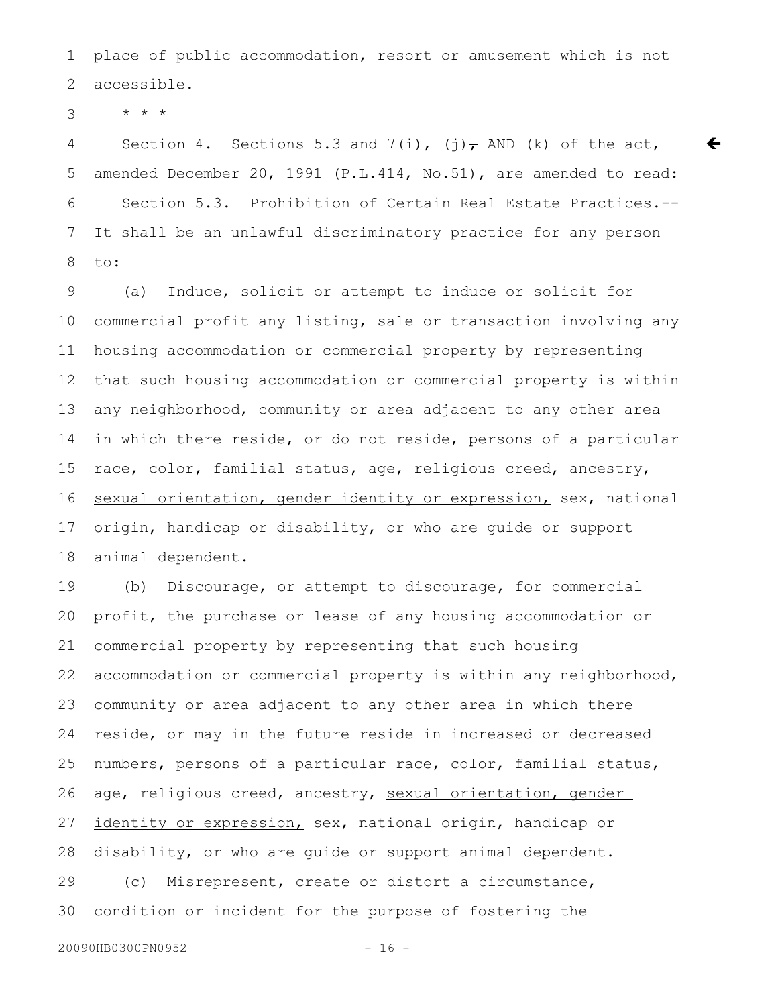place of public accommodation, resort or amusement which is not accessible. 1 2

\* \* \* 3

Section 4. Sections 5.3 and 7(i), (j), AND (k) of the act, amended December 20, 1991 (P.L.414, No.51), are amended to read: Section 5.3. Prohibition of Certain Real Estate Practices.-- It shall be an unlawful discriminatory practice for any person to: 4 5 6 7 8

 $\bm{\epsilon}$ 

(a) Induce, solicit or attempt to induce or solicit for commercial profit any listing, sale or transaction involving any housing accommodation or commercial property by representing that such housing accommodation or commercial property is within any neighborhood, community or area adjacent to any other area in which there reside, or do not reside, persons of a particular race, color, familial status, age, religious creed, ancestry, sexual orientation, gender identity or expression, sex, national origin, handicap or disability, or who are guide or support animal dependent. 9 10 11 12 13 14 15 16 17 18

(b) Discourage, or attempt to discourage, for commercial profit, the purchase or lease of any housing accommodation or commercial property by representing that such housing accommodation or commercial property is within any neighborhood, community or area adjacent to any other area in which there reside, or may in the future reside in increased or decreased numbers, persons of a particular race, color, familial status, age, religious creed, ancestry, sexual orientation, gender identity or expression, sex, national origin, handicap or disability, or who are guide or support animal dependent. (c) Misrepresent, create or distort a circumstance, condition or incident for the purpose of fostering the 19 20 21 22 23 24 25 26 27 28 29 30

20090HB0300PN0952 - 16 -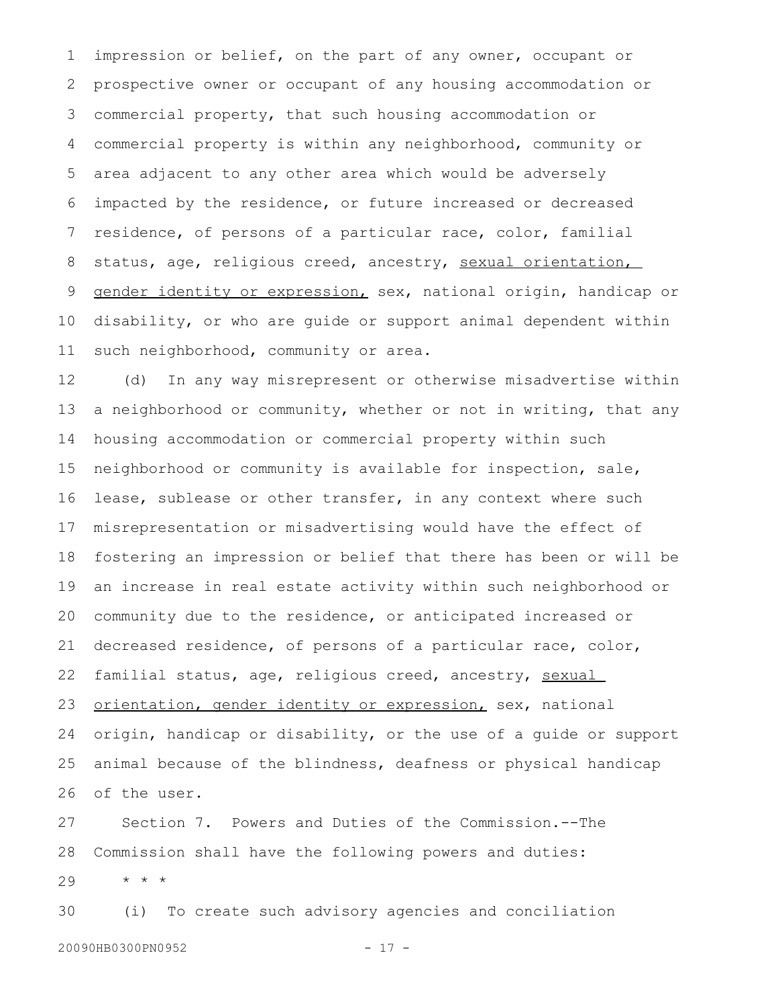impression or belief, on the part of any owner, occupant or prospective owner or occupant of any housing accommodation or commercial property, that such housing accommodation or commercial property is within any neighborhood, community or area adjacent to any other area which would be adversely impacted by the residence, or future increased or decreased residence, of persons of a particular race, color, familial status, age, religious creed, ancestry, sexual orientation, gender identity or expression, sex, national origin, handicap or disability, or who are guide or support animal dependent within such neighborhood, community or area. 1 2 3 4 5 6 7 8 9 10 11

(d) In any way misrepresent or otherwise misadvertise within a neighborhood or community, whether or not in writing, that any housing accommodation or commercial property within such neighborhood or community is available for inspection, sale, lease, sublease or other transfer, in any context where such misrepresentation or misadvertising would have the effect of fostering an impression or belief that there has been or will be an increase in real estate activity within such neighborhood or community due to the residence, or anticipated increased or decreased residence, of persons of a particular race, color, familial status, age, religious creed, ancestry, sexual orientation, gender identity or expression, sex, national origin, handicap or disability, or the use of a guide or support animal because of the blindness, deafness or physical handicap of the user. 12 13 14 15 16 17 18 19 20 21 22 23 24 25 26

Section 7. Powers and Duties of the Commission.--The Commission shall have the following powers and duties: \* \* \* 27 28 29

(i) To create such advisory agencies and conciliation 20090HB0300PN0952 - 17 -30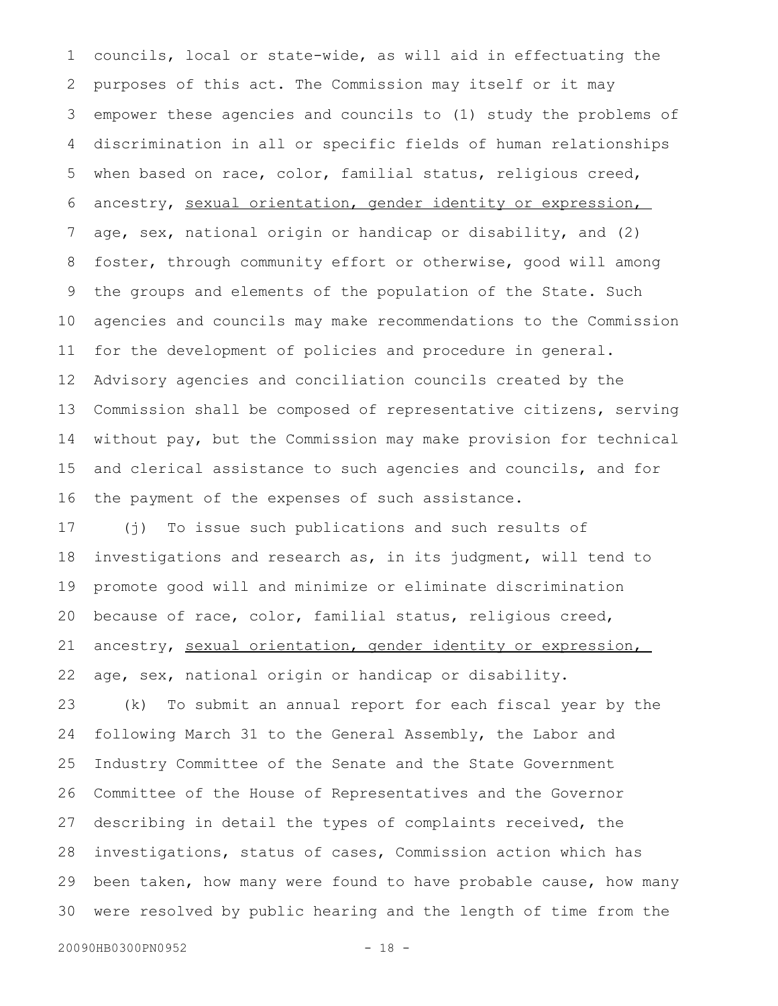councils, local or state-wide, as will aid in effectuating the purposes of this act. The Commission may itself or it may empower these agencies and councils to (1) study the problems of discrimination in all or specific fields of human relationships when based on race, color, familial status, religious creed, ancestry, sexual orientation, gender identity or expression, age, sex, national origin or handicap or disability, and (2) foster, through community effort or otherwise, good will among the groups and elements of the population of the State. Such agencies and councils may make recommendations to the Commission for the development of policies and procedure in general. Advisory agencies and conciliation councils created by the Commission shall be composed of representative citizens, serving without pay, but the Commission may make provision for technical and clerical assistance to such agencies and councils, and for the payment of the expenses of such assistance. 1 2 3 4 5 6 7 8 9 10 11 12 13 14 15 16

(j) To issue such publications and such results of investigations and research as, in its judgment, will tend to promote good will and minimize or eliminate discrimination because of race, color, familial status, religious creed, ancestry, sexual orientation, gender identity or expression, age, sex, national origin or handicap or disability. 17 18 19 20 21 22

(k) To submit an annual report for each fiscal year by the following March 31 to the General Assembly, the Labor and Industry Committee of the Senate and the State Government Committee of the House of Representatives and the Governor describing in detail the types of complaints received, the investigations, status of cases, Commission action which has been taken, how many were found to have probable cause, how many were resolved by public hearing and the length of time from the 23 24 25 26 27 28 29 30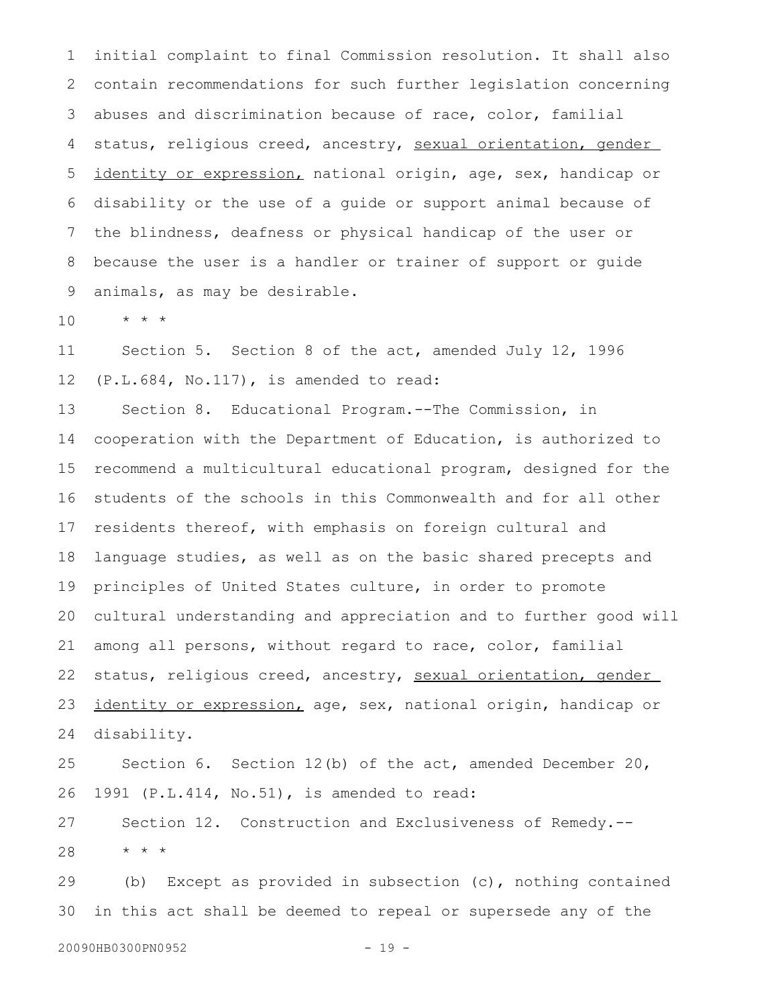initial complaint to final Commission resolution. It shall also contain recommendations for such further legislation concerning abuses and discrimination because of race, color, familial status, religious creed, ancestry, sexual orientation, gender identity or expression, national origin, age, sex, handicap or disability or the use of a guide or support animal because of the blindness, deafness or physical handicap of the user or because the user is a handler or trainer of support or guide animals, as may be desirable. 1 2 3 4 5 6 7 8 9

\* \* \* 10

Section 5. Section 8 of the act, amended July 12, 1996 (P.L.684, No.117), is amended to read: 11 12

Section 8. Educational Program.--The Commission, in cooperation with the Department of Education, is authorized to recommend a multicultural educational program, designed for the students of the schools in this Commonwealth and for all other residents thereof, with emphasis on foreign cultural and language studies, as well as on the basic shared precepts and principles of United States culture, in order to promote cultural understanding and appreciation and to further good will among all persons, without regard to race, color, familial status, religious creed, ancestry, sexual orientation, gender identity or expression, age, sex, national origin, handicap or disability. 13 14 15 16 17 18 19 20 21 22 23 24

Section 6. Section 12(b) of the act, amended December 20, 1991 (P.L.414, No.51), is amended to read: 25 26

Section 12. Construction and Exclusiveness of Remedy.-- \* \* \* 27 28

(b) Except as provided in subsection (c), nothing contained in this act shall be deemed to repeal or supersede any of the 29 30